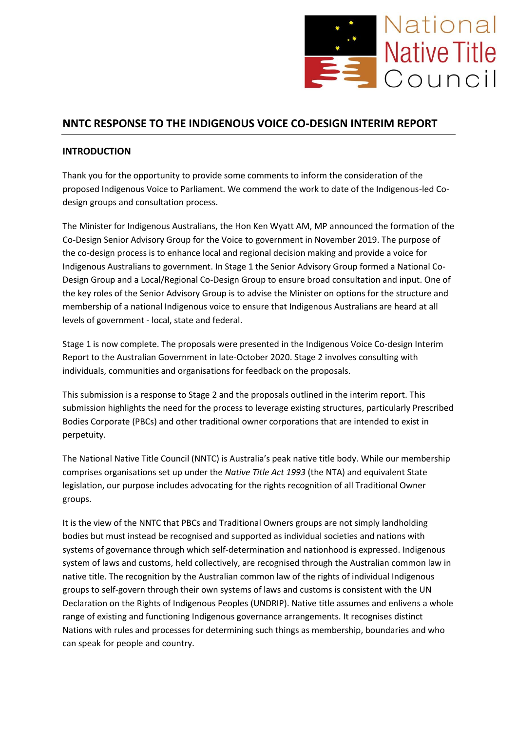

# **NNTC RESPONSE TO THE INDIGENOUS VOICE CO-DESIGN INTERIM REPORT**

## **INTRODUCTION**

Thank you for the opportunity to provide some comments to inform the consideration of the proposed Indigenous Voice to Parliament. We commend the work to date of the Indigenous-led Codesign groups and consultation process.

The Minister for Indigenous Australians, the Hon Ken Wyatt AM, MP announced the formation of the Co-Design Senior Advisory Group for the Voice to government in November 2019. The purpose of the co-design process is to enhance local and regional decision making and provide a voice for Indigenous Australians to government. In Stage 1 the Senior Advisory Group formed a National Co-Design Group and a Local/Regional Co-Design Group to ensure broad consultation and input. One of the key roles of the Senior Advisory Group is to advise the Minister on options for the structure and membership of a national Indigenous voice to ensure that Indigenous Australians are heard at all levels of government - local, state and federal.

Stage 1 is now complete. The proposals were presented in the Indigenous Voice Co-design Interim Report to the Australian Government in late-October 2020. Stage 2 involves consulting with individuals, communities and organisations for feedback on the proposals.

This submission is a response to Stage 2 and the proposals outlined in the interim report. This submission highlights the need for the process to leverage existing structures, particularly Prescribed Bodies Corporate (PBCs) and other traditional owner corporations that are intended to exist in perpetuity.

The National Native Title Council (NNTC) is Australia's peak native title body. While our membership comprises organisations set up under the *Native Title Act 1993* (the NTA) and equivalent State legislation, our purpose includes advocating for the rights recognition of all Traditional Owner groups.

It is the view of the NNTC that PBCs and Traditional Owners groups are not simply landholding bodies but must instead be recognised and supported as individual societies and nations with systems of governance through which self-determination and nationhood is expressed. Indigenous system of laws and customs, held collectively, are recognised through the Australian common law in native title. The recognition by the Australian common law of the rights of individual Indigenous groups to self-govern through their own systems of laws and customs is consistent with the UN Declaration on the Rights of Indigenous Peoples (UNDRIP). Native title assumes and enlivens a whole range of existing and functioning Indigenous governance arrangements. It recognises distinct Nations with rules and processes for determining such things as membership, boundaries and who can speak for people and country.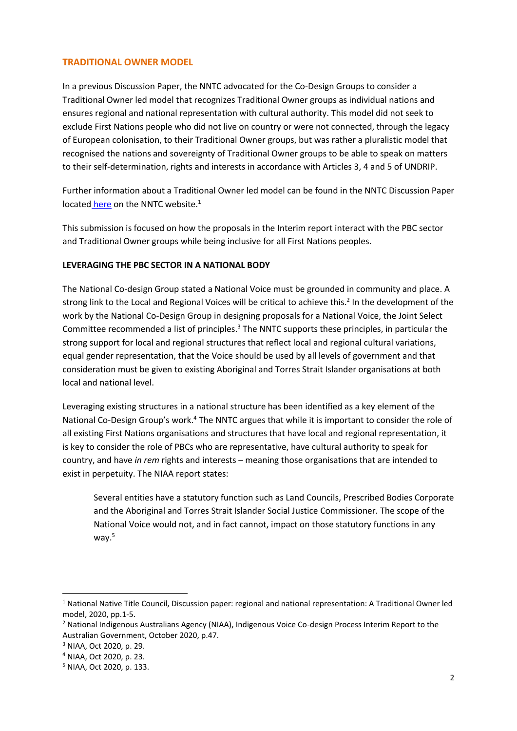### **TRADITIONAL OWNER MODEL**

In a previous Discussion Paper, the NNTC advocated for the Co-Design Groups to consider a Traditional Owner led model that recognizes Traditional Owner groups as individual nations and ensures regional and national representation with cultural authority. This model did not seek to exclude First Nations people who did not live on country or were not connected, through the legacy of European colonisation, to their Traditional Owner groups, but was rather a pluralistic model that recognised the nations and sovereignty of Traditional Owner groups to be able to speak on matters to their self-determination, rights and interests in accordance with Articles 3, 4 and 5 of UNDRIP.

Further information about a Traditional Owner led model can be found in the NNTC Discussion Paper located [here](https://nntc.com.au/wp-content/uploads/2021/01/Regional-and-national-representation-a-traditional-owner-model_Final.pdf) on the NNTC website.<sup>1</sup>

This submission is focused on how the proposals in the Interim report interact with the PBC sector and Traditional Owner groups while being inclusive for all First Nations peoples.

### **LEVERAGING THE PBC SECTOR IN A NATIONAL BODY**

The National Co-design Group stated a National Voice must be grounded in community and place. A strong link to the Local and Regional Voices will be critical to achieve this.<sup>2</sup> In the development of the work by the National Co-Design Group in designing proposals for a National Voice, the Joint Select Committee recommended a list of principles.<sup>3</sup> The NNTC supports these principles, in particular the strong support for local and regional structures that reflect local and regional cultural variations, equal gender representation, that the Voice should be used by all levels of government and that consideration must be given to existing Aboriginal and Torres Strait Islander organisations at both local and national level.

Leveraging existing structures in a national structure has been identified as a key element of the National Co-Design Group's work.<sup>4</sup> The NNTC argues that while it is important to consider the role of all existing First Nations organisations and structures that have local and regional representation, it is key to consider the role of PBCs who are representative, have cultural authority to speak for country, and have *in rem* rights and interests – meaning those organisations that are intended to exist in perpetuity. The NIAA report states:

Several entities have a statutory function such as Land Councils, Prescribed Bodies Corporate and the Aboriginal and Torres Strait Islander Social Justice Commissioner. The scope of the National Voice would not, and in fact cannot, impact on those statutory functions in any way. $5$ 

<sup>1</sup> National Native Title Council, Discussion paper: regional and national representation: A Traditional Owner led model, 2020, pp.1-5.

<sup>2</sup> National Indigenous Australians Agency (NIAA), Indigenous Voice Co-design Process Interim Report to the Australian Government, October 2020, p.47.

<sup>3</sup> NIAA, Oct 2020, p. 29.

<sup>4</sup> NIAA, Oct 2020, p. 23.

<sup>5</sup> NIAA, Oct 2020, p. 133.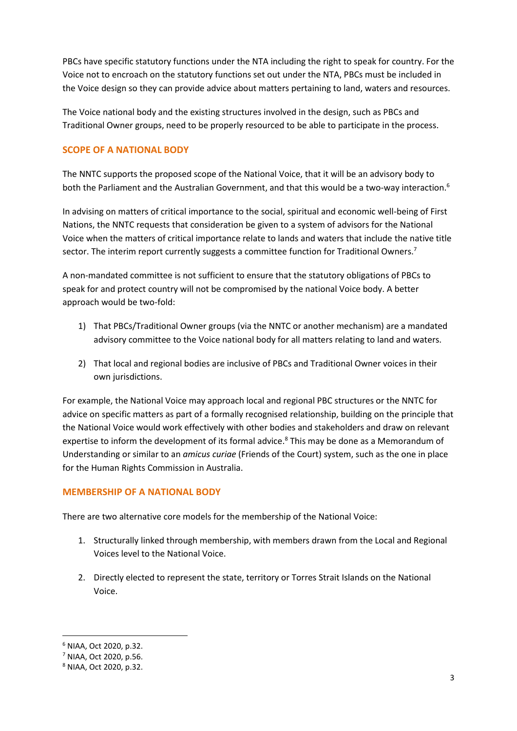PBCs have specific statutory functions under the NTA including the right to speak for country. For the Voice not to encroach on the statutory functions set out under the NTA, PBCs must be included in the Voice design so they can provide advice about matters pertaining to land, waters and resources.

The Voice national body and the existing structures involved in the design, such as PBCs and Traditional Owner groups, need to be properly resourced to be able to participate in the process.

## **SCOPE OF A NATIONAL BODY**

The NNTC supports the proposed scope of the National Voice, that it will be an advisory body to both the Parliament and the Australian Government, and that this would be a two-way interaction.<sup>6</sup>

In advising on matters of critical importance to the social, spiritual and economic well-being of First Nations, the NNTC requests that consideration be given to a system of advisors for the National Voice when the matters of critical importance relate to lands and waters that include the native title sector. The interim report currently suggests a committee function for Traditional Owners.<sup>7</sup>

A non-mandated committee is not sufficient to ensure that the statutory obligations of PBCs to speak for and protect country will not be compromised by the national Voice body. A better approach would be two-fold:

- 1) That PBCs/Traditional Owner groups (via the NNTC or another mechanism) are a mandated advisory committee to the Voice national body for all matters relating to land and waters.
- 2) That local and regional bodies are inclusive of PBCs and Traditional Owner voices in their own jurisdictions.

For example, the National Voice may approach local and regional PBC structures or the NNTC for advice on specific matters as part of a formally recognised relationship, building on the principle that the National Voice would work effectively with other bodies and stakeholders and draw on relevant expertise to inform the development of its formal advice.<sup>8</sup> This may be done as a Memorandum of Understanding or similar to an *amicus curiae* (Friends of the Court) system, such as the one in place for the Human Rights Commission in Australia.

### **MEMBERSHIP OF A NATIONAL BODY**

There are two alternative core models for the membership of the National Voice:

- 1. Structurally linked through membership, with members drawn from the Local and Regional Voices level to the National Voice.
- 2. Directly elected to represent the state, territory or Torres Strait Islands on the National Voice.

<sup>6</sup> NIAA, Oct 2020, p.32.

<sup>7</sup> NIAA, Oct 2020, p.56.

<sup>8</sup> NIAA, Oct 2020, p.32.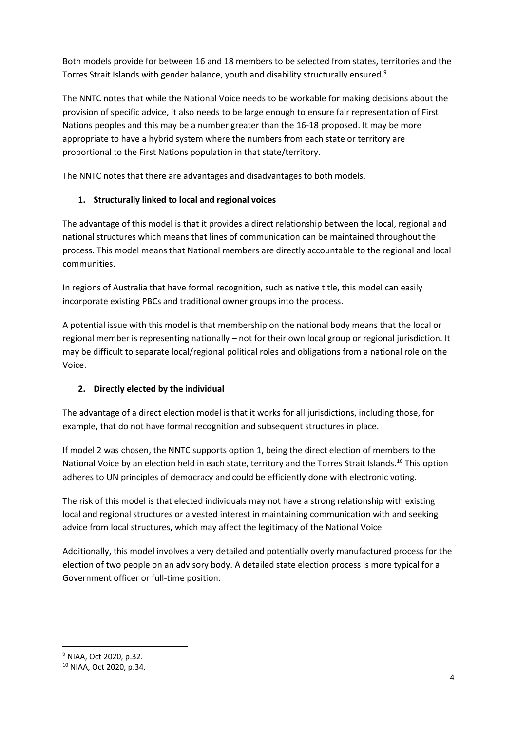Both models provide for between 16 and 18 members to be selected from states, territories and the Torres Strait Islands with gender balance, youth and disability structurally ensured.<sup>9</sup>

The NNTC notes that while the National Voice needs to be workable for making decisions about the provision of specific advice, it also needs to be large enough to ensure fair representation of First Nations peoples and this may be a number greater than the 16-18 proposed. It may be more appropriate to have a hybrid system where the numbers from each state or territory are proportional to the First Nations population in that state/territory.

The NNTC notes that there are advantages and disadvantages to both models.

## **1. Structurally linked to local and regional voices**

The advantage of this model is that it provides a direct relationship between the local, regional and national structures which means that lines of communication can be maintained throughout the process. This model means that National members are directly accountable to the regional and local communities.

In regions of Australia that have formal recognition, such as native title, this model can easily incorporate existing PBCs and traditional owner groups into the process.

A potential issue with this model is that membership on the national body means that the local or regional member is representing nationally – not for their own local group or regional jurisdiction. It may be difficult to separate local/regional political roles and obligations from a national role on the Voice.

## **2. Directly elected by the individual**

The advantage of a direct election model is that it works for all jurisdictions, including those, for example, that do not have formal recognition and subsequent structures in place.

If model 2 was chosen, the NNTC supports option 1, being the direct election of members to the National Voice by an election held in each state, territory and the Torres Strait Islands.<sup>10</sup> This option adheres to UN principles of democracy and could be efficiently done with electronic voting.

The risk of this model is that elected individuals may not have a strong relationship with existing local and regional structures or a vested interest in maintaining communication with and seeking advice from local structures, which may affect the legitimacy of the National Voice.

Additionally, this model involves a very detailed and potentially overly manufactured process for the election of two people on an advisory body. A detailed state election process is more typical for a Government officer or full-time position.

<sup>9</sup> NIAA, Oct 2020, p.32.

<sup>10</sup> NIAA, Oct 2020, p.34.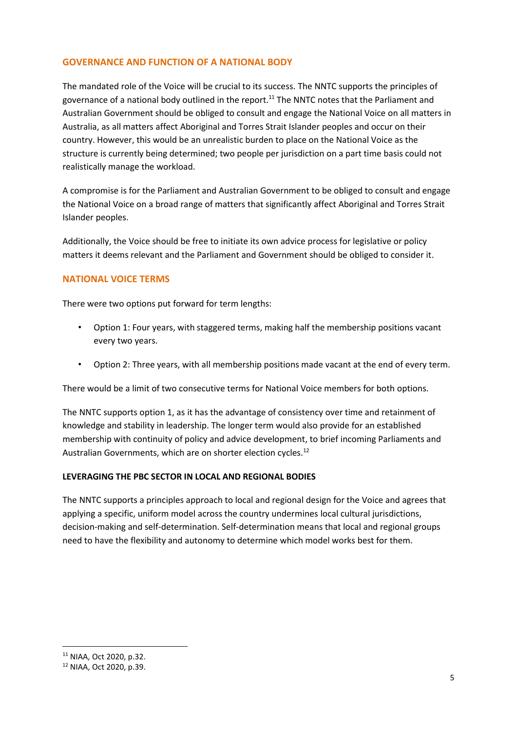## **GOVERNANCE AND FUNCTION OF A NATIONAL BODY**

The mandated role of the Voice will be crucial to its success. The NNTC supports the principles of governance of a national body outlined in the report.<sup>11</sup> The NNTC notes that the Parliament and Australian Government should be obliged to consult and engage the National Voice on all matters in Australia, as all matters affect Aboriginal and Torres Strait Islander peoples and occur on their country. However, this would be an unrealistic burden to place on the National Voice as the structure is currently being determined; two people per jurisdiction on a part time basis could not realistically manage the workload.

A compromise is for the Parliament and Australian Government to be obliged to consult and engage the National Voice on a broad range of matters that significantly affect Aboriginal and Torres Strait Islander peoples.

Additionally, the Voice should be free to initiate its own advice process for legislative or policy matters it deems relevant and the Parliament and Government should be obliged to consider it.

### **NATIONAL VOICE TERMS**

There were two options put forward for term lengths:

- Option 1: Four years, with staggered terms, making half the membership positions vacant every two years.
- Option 2: Three years, with all membership positions made vacant at the end of every term.

There would be a limit of two consecutive terms for National Voice members for both options.

The NNTC supports option 1, as it has the advantage of consistency over time and retainment of knowledge and stability in leadership. The longer term would also provide for an established membership with continuity of policy and advice development, to brief incoming Parliaments and Australian Governments, which are on shorter election cycles.<sup>12</sup>

### **LEVERAGING THE PBC SECTOR IN LOCAL AND REGIONAL BODIES**

The NNTC supports a principles approach to local and regional design for the Voice and agrees that applying a specific, uniform model across the country undermines local cultural jurisdictions, decision-making and self-determination. Self-determination means that local and regional groups need to have the flexibility and autonomy to determine which model works best for them.

<sup>11</sup> NIAA, Oct 2020, p.32.

<sup>12</sup> NIAA, Oct 2020, p.39.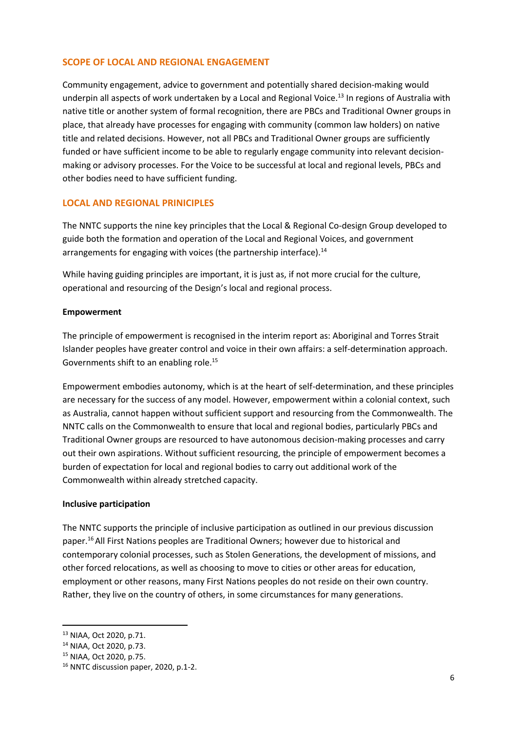### **SCOPE OF LOCAL AND REGIONAL ENGAGEMENT**

Community engagement, advice to government and potentially shared decision-making would underpin all aspects of work undertaken by a Local and Regional Voice.<sup>13</sup> In regions of Australia with native title or another system of formal recognition, there are PBCs and Traditional Owner groups in place, that already have processes for engaging with community (common law holders) on native title and related decisions. However, not all PBCs and Traditional Owner groups are sufficiently funded or have sufficient income to be able to regularly engage community into relevant decisionmaking or advisory processes. For the Voice to be successful at local and regional levels, PBCs and other bodies need to have sufficient funding.

### **LOCAL AND REGIONAL PRINICIPLES**

The NNTC supports the nine key principles that the Local & Regional Co-design Group developed to guide both the formation and operation of the Local and Regional Voices, and government arrangements for engaging with voices (the partnership interface).<sup>14</sup>

While having guiding principles are important, it is just as, if not more crucial for the culture, operational and resourcing of the Design's local and regional process.

#### **Empowerment**

The principle of empowerment is recognised in the interim report as: Aboriginal and Torres Strait Islander peoples have greater control and voice in their own affairs: a self-determination approach. Governments shift to an enabling role.<sup>15</sup>

Empowerment embodies autonomy, which is at the heart of self-determination, and these principles are necessary for the success of any model. However, empowerment within a colonial context, such as Australia, cannot happen without sufficient support and resourcing from the Commonwealth. The NNTC calls on the Commonwealth to ensure that local and regional bodies, particularly PBCs and Traditional Owner groups are resourced to have autonomous decision-making processes and carry out their own aspirations. Without sufficient resourcing, the principle of empowerment becomes a burden of expectation for local and regional bodies to carry out additional work of the Commonwealth within already stretched capacity.

#### **Inclusive participation**

The NNTC supports the principle of inclusive participation as outlined in our previous discussion paper.<sup>16</sup>All First Nations peoples are Traditional Owners; however due to historical and contemporary colonial processes, such as Stolen Generations, the development of missions, and other forced relocations, as well as choosing to move to cities or other areas for education, employment or other reasons, many First Nations peoples do not reside on their own country. Rather, they live on the country of others, in some circumstances for many generations.

<sup>13</sup> NIAA, Oct 2020, p.71.

<sup>14</sup> NIAA, Oct 2020, p.73.

<sup>15</sup> NIAA, Oct 2020, p.75.

<sup>&</sup>lt;sup>16</sup> NNTC discussion paper, 2020, p.1-2.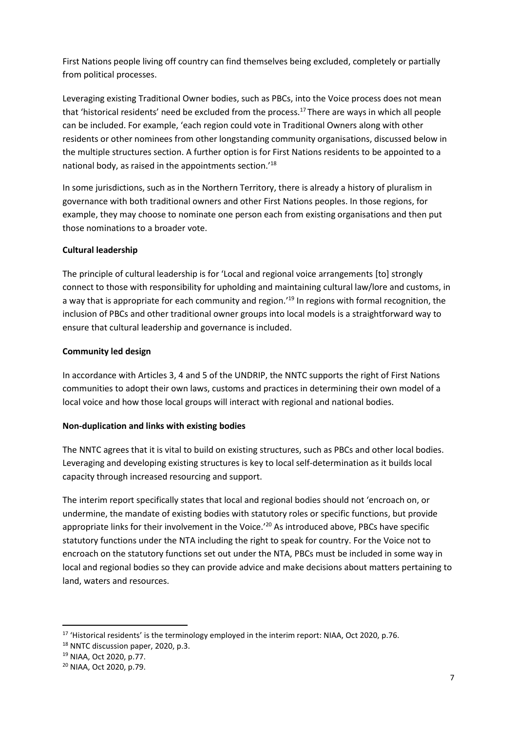First Nations people living off country can find themselves being excluded, completely or partially from political processes.

Leveraging existing Traditional Owner bodies, such as PBCs, into the Voice process does not mean that 'historical residents' need be excluded from the process.<sup>17</sup> There are ways in which all people can be included. For example, 'each region could vote in Traditional Owners along with other residents or other nominees from other longstanding community organisations, discussed below in the multiple structures section. A further option is for First Nations residents to be appointed to a national body, as raised in the appointments section.'<sup>18</sup>

In some jurisdictions, such as in the Northern Territory, there is already a history of pluralism in governance with both traditional owners and other First Nations peoples. In those regions, for example, they may choose to nominate one person each from existing organisations and then put those nominations to a broader vote.

### **Cultural leadership**

The principle of cultural leadership is for 'Local and regional voice arrangements [to] strongly connect to those with responsibility for upholding and maintaining cultural law/lore and customs, in a way that is appropriate for each community and region.<sup>'19</sup> In regions with formal recognition, the inclusion of PBCs and other traditional owner groups into local models is a straightforward way to ensure that cultural leadership and governance is included.

### **Community led design**

In accordance with Articles 3, 4 and 5 of the UNDRIP, the NNTC supports the right of First Nations communities to adopt their own laws, customs and practices in determining their own model of a local voice and how those local groups will interact with regional and national bodies.

### **Non-duplication and links with existing bodies**

The NNTC agrees that it is vital to build on existing structures, such as PBCs and other local bodies. Leveraging and developing existing structures is key to local self-determination as it builds local capacity through increased resourcing and support.

The interim report specifically states that local and regional bodies should not 'encroach on, or undermine, the mandate of existing bodies with statutory roles or specific functions, but provide appropriate links for their involvement in the Voice.<sup>'20</sup> As introduced above, PBCs have specific statutory functions under the NTA including the right to speak for country. For the Voice not to encroach on the statutory functions set out under the NTA, PBCs must be included in some way in local and regional bodies so they can provide advice and make decisions about matters pertaining to land, waters and resources.

<sup>&</sup>lt;sup>17</sup> 'Historical residents' is the terminology employed in the interim report: NIAA, Oct 2020, p.76.

<sup>&</sup>lt;sup>18</sup> NNTC discussion paper, 2020, p.3.

<sup>19</sup> NIAA, Oct 2020, p.77.

<sup>20</sup> NIAA, Oct 2020, p.79.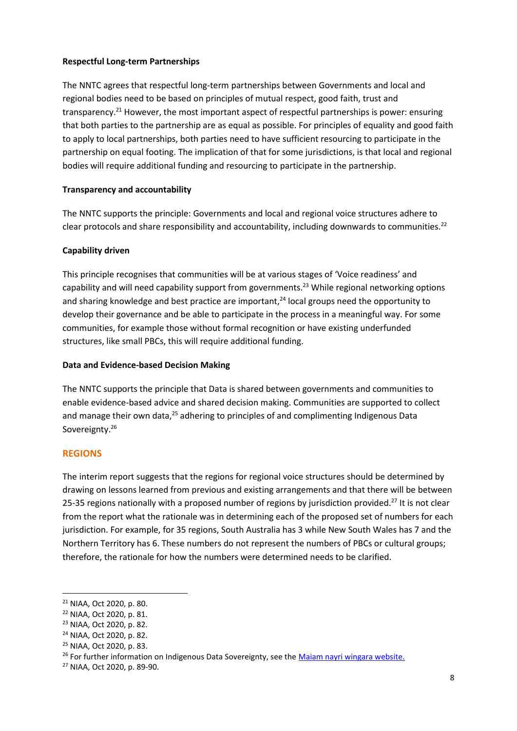### **Respectful Long-term Partnerships**

The NNTC agrees that respectful long-term partnerships between Governments and local and regional bodies need to be based on principles of mutual respect, good faith, trust and transparency.<sup>21</sup> However, the most important aspect of respectful partnerships is power: ensuring that both parties to the partnership are as equal as possible. For principles of equality and good faith to apply to local partnerships, both parties need to have sufficient resourcing to participate in the partnership on equal footing. The implication of that for some jurisdictions, is that local and regional bodies will require additional funding and resourcing to participate in the partnership.

### **Transparency and accountability**

The NNTC supports the principle: Governments and local and regional voice structures adhere to clear protocols and share responsibility and accountability, including downwards to communities.<sup>22</sup>

### **Capability driven**

This principle recognises that communities will be at various stages of 'Voice readiness' and capability and will need capability support from governments.<sup>23</sup> While regional networking options and sharing knowledge and best practice are important, $24$  local groups need the opportunity to develop their governance and be able to participate in the process in a meaningful way. For some communities, for example those without formal recognition or have existing underfunded structures, like small PBCs, this will require additional funding.

#### **Data and Evidence-based Decision Making**

The NNTC supports the principle that Data is shared between governments and communities to enable evidence-based advice and shared decision making. Communities are supported to collect and manage their own data, $25$  adhering to principles of and complimenting Indigenous Data Sovereignty.<sup>26</sup>

#### **REGIONS**

The interim report suggests that the regions for regional voice structures should be determined by drawing on lessons learned from previous and existing arrangements and that there will be between 25-35 regions nationally with a proposed number of regions by jurisdiction provided.<sup>27</sup> It is not clear from the report what the rationale was in determining each of the proposed set of numbers for each jurisdiction. For example, for 35 regions, South Australia has 3 while New South Wales has 7 and the Northern Territory has 6. These numbers do not represent the numbers of PBCs or cultural groups; therefore, the rationale for how the numbers were determined needs to be clarified.

<sup>21</sup> NIAA, Oct 2020, p. 80.

<sup>22</sup> NIAA, Oct 2020, p. 81.

<sup>23</sup> NIAA, Oct 2020, p. 82.

<sup>24</sup> NIAA, Oct 2020, p. 82.

<sup>25</sup> NIAA, Oct 2020, p. 83.

<sup>&</sup>lt;sup>26</sup> For further information on Indigenous Data Sovereignty, see the Maiam nayri wingara website.

<sup>27</sup> NIAA, Oct 2020, p. 89-90.